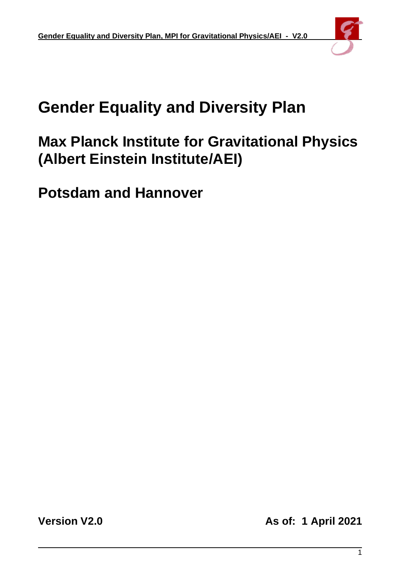

# **Gender Equality and Diversity Plan**

# **Max Planck Institute for Gravitational Physics (Albert Einstein Institute/AEI)**

**Potsdam and Hannover**

**Version V2.0 As of: 1 April 2021**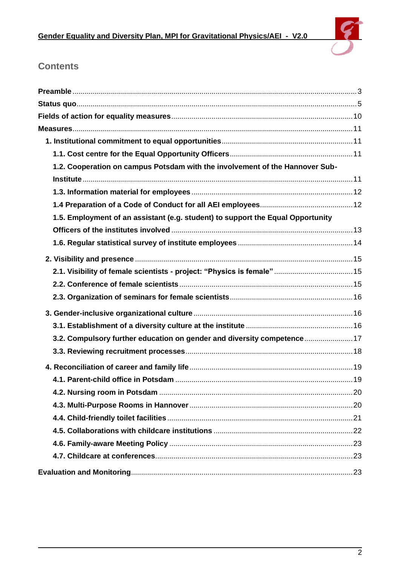

# **Contents**

| 1.2. Cooperation on campus Potsdam with the involvement of the Hannover Sub-    |  |
|---------------------------------------------------------------------------------|--|
|                                                                                 |  |
|                                                                                 |  |
|                                                                                 |  |
| 1.5. Employment of an assistant (e.g. student) to support the Equal Opportunity |  |
|                                                                                 |  |
|                                                                                 |  |
|                                                                                 |  |
|                                                                                 |  |
|                                                                                 |  |
|                                                                                 |  |
|                                                                                 |  |
|                                                                                 |  |
| 3.2. Compulsory further education on gender and diversity competence  17        |  |
|                                                                                 |  |
|                                                                                 |  |
|                                                                                 |  |
|                                                                                 |  |
|                                                                                 |  |
|                                                                                 |  |
|                                                                                 |  |
|                                                                                 |  |
|                                                                                 |  |
|                                                                                 |  |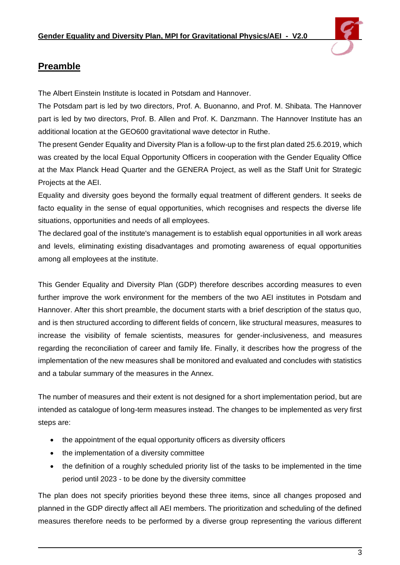

# <span id="page-2-0"></span>**Preamble**

The Albert Einstein Institute is located in Potsdam and Hannover.

The Potsdam part is led by two directors, Prof. A. Buonanno, and Prof. M. Shibata. The Hannover part is led by two directors, Prof. B. Allen and Prof. K. Danzmann. The Hannover Institute has an additional location at the GEO600 gravitational wave detector in Ruthe.

The present Gender Equality and Diversity Plan is a follow-up to the first plan dated 25.6.2019, which was created by the local Equal Opportunity Officers in cooperation with the Gender Equality Office at the Max Planck Head Quarter and the GENERA Project, as well as the Staff Unit for Strategic Projects at the AEI.

Equality and diversity goes beyond the formally equal treatment of different genders. It seeks de facto equality in the sense of equal opportunities, which recognises and respects the diverse life situations, opportunities and needs of all employees.

The declared goal of the institute's management is to establish equal opportunities in all work areas and levels, eliminating existing disadvantages and promoting awareness of equal opportunities among all employees at the institute.

This Gender Equality and Diversity Plan (GDP) therefore describes according measures to even further improve the work environment for the members of the two AEI institutes in Potsdam and Hannover. After this short preamble, the document starts with a brief description of the status quo, and is then structured according to different fields of concern, like structural measures, measures to increase the visibility of female scientists, measures for gender-inclusiveness, and measures regarding the reconciliation of career and family life. Finally, it describes how the progress of the implementation of the new measures shall be monitored and evaluated and concludes with statistics and a tabular summary of the measures in the Annex.

The number of measures and their extent is not designed for a short implementation period, but are intended as catalogue of long-term measures instead. The changes to be implemented as very first steps are:

- the appointment of the equal opportunity officers as diversity officers
- the implementation of a diversity committee
- the definition of a roughly scheduled priority list of the tasks to be implemented in the time period until 2023 - to be done by the diversity committee

The plan does not specify priorities beyond these three items, since all changes proposed and planned in the GDP directly affect all AEI members. The prioritization and scheduling of the defined measures therefore needs to be performed by a diverse group representing the various different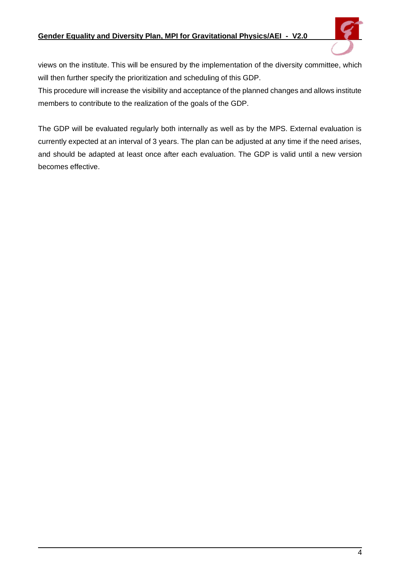#### **Gender Equality and Diversity Plan, MPI for Gravitational Physics/AEI - V2.0**



views on the institute. This will be ensured by the implementation of the diversity committee, which will then further specify the prioritization and scheduling of this GDP.

This procedure will increase the visibility and acceptance of the planned changes and allows institute members to contribute to the realization of the goals of the GDP.

The GDP will be evaluated regularly both internally as well as by the MPS. External evaluation is currently expected at an interval of 3 years. The plan can be adjusted at any time if the need arises, and should be adapted at least once after each evaluation. The GDP is valid until a new version becomes effective.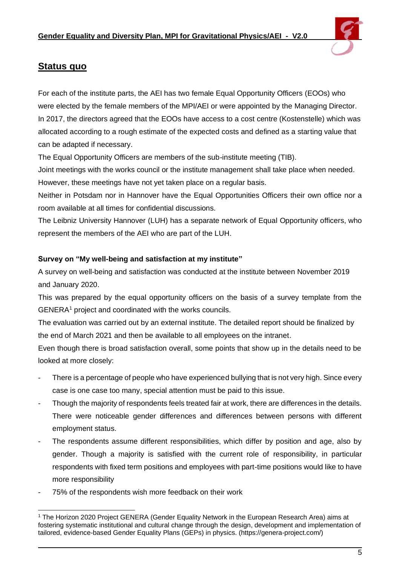

# <span id="page-4-0"></span>**Status quo**

For each of the institute parts, the AEI has two female Equal Opportunity Officers (EOOs) who were elected by the female members of the MPI/AEI or were appointed by the Managing Director. In 2017, the directors agreed that the EOOs have access to a cost centre (Kostenstelle) which was allocated according to a rough estimate of the expected costs and defined as a starting value that can be adapted if necessary.

The Equal Opportunity Officers are members of the sub-institute meeting (TIB).

Joint meetings with the works council or the institute management shall take place when needed. However, these meetings have not yet taken place on a regular basis.

Neither in Potsdam nor in Hannover have the Equal Opportunities Officers their own office nor a room available at all times for confidential discussions.

The Leibniz University Hannover (LUH) has a separate network of Equal Opportunity officers, who represent the members of the AEI who are part of the LUH.

# **Survey on "My well-being and satisfaction at my institute"**

A survey on well-being and satisfaction was conducted at the institute between November 2019 and January 2020.

This was prepared by the equal opportunity officers on the basis of a survey template from the GENERA<sup>1</sup> project and coordinated with the works councils.

The evaluation was carried out by an external institute. The detailed report should be finalized by the end of March 2021 and then be available to all employees on the intranet.

Even though there is broad satisfaction overall, some points that show up in the details need to be looked at more closely:

- There is a percentage of people who have experienced bullying that is not very high. Since every case is one case too many, special attention must be paid to this issue.
- Though the majority of respondents feels treated fair at work, there are differences in the details. There were noticeable gender differences and differences between persons with different employment status.
- The respondents assume different responsibilities, which differ by position and age, also by gender. Though a majority is satisfied with the current role of responsibility, in particular respondents with fixed term positions and employees with part-time positions would like to have more responsibility
- 75% of the respondents wish more feedback on their work

<sup>1</sup> The Horizon 2020 Project GENERA (Gender Equality Network in the European Research Area) aims at fostering systematic institutional and cultural change through the design, development and implementation of tailored, evidence-based Gender Equality Plans (GEPs) in physics. (https://genera-project.com/)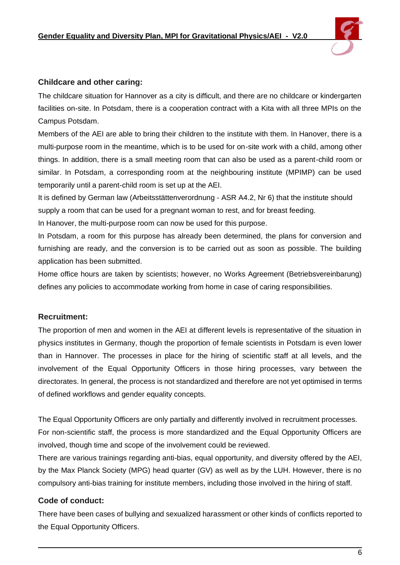

#### **Childcare and other caring:**

The childcare situation for Hannover as a city is difficult, and there are no childcare or kindergarten facilities on-site. In Potsdam, there is a cooperation contract with a Kita with all three MPIs on the Campus Potsdam.

Members of the AEI are able to bring their children to the institute with them. In Hanover, there is a multi-purpose room in the meantime, which is to be used for on-site work with a child, among other things. In addition, there is a small meeting room that can also be used as a parent-child room or similar. In Potsdam, a corresponding room at the neighbouring institute (MPIMP) can be used temporarily until a parent-child room is set up at the AEI.

It is defined by German law (Arbeitsstättenverordnung - ASR A4.2, Nr 6) that the institute should supply a room that can be used for a pregnant woman to rest, and for breast feeding.

In Hanover, the multi-purpose room can now be used for this purpose.

In Potsdam, a room for this purpose has already been determined, the plans for conversion and furnishing are ready, and the conversion is to be carried out as soon as possible. The building application has been submitted.

Home office hours are taken by scientists; however, no Works Agreement (Betriebsvereinbarung) defines any policies to accommodate working from home in case of caring responsibilities.

# **Recruitment:**

The proportion of men and women in the AEI at different levels is representative of the situation in physics institutes in Germany, though the proportion of female scientists in Potsdam is even lower than in Hannover. The processes in place for the hiring of scientific staff at all levels, and the involvement of the Equal Opportunity Officers in those hiring processes, vary between the directorates. In general, the process is not standardized and therefore are not yet optimised in terms of defined workflows and gender equality concepts.

The Equal Opportunity Officers are only partially and differently involved in recruitment processes. For non-scientific staff, the process is more standardized and the Equal Opportunity Officers are involved, though time and scope of the involvement could be reviewed.

There are various trainings regarding anti-bias, equal opportunity, and diversity offered by the AEI, by the Max Planck Society (MPG) head quarter (GV) as well as by the LUH. However, there is no compulsory anti-bias training for institute members, including those involved in the hiring of staff.

# **Code of conduct:**

There have been cases of bullying and sexualized harassment or other kinds of conflicts reported to the Equal Opportunity Officers.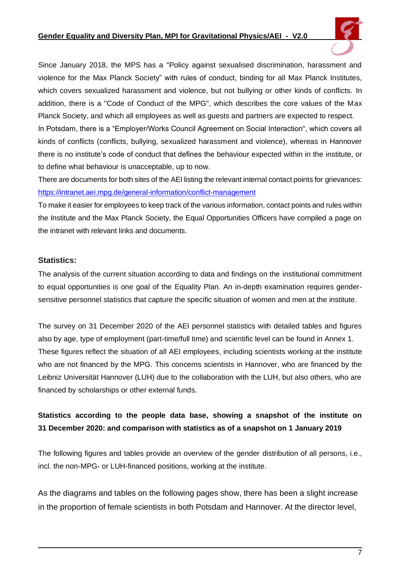#### **Gender Equality and Diversity Plan, MPI for Gravitational Physics/AEI - V2.0**

Since January 2018, the MPS has a "Policy against sexualised discrimination, harassment and violence for the Max Planck Society" with rules of conduct, binding for all Max Planck Institutes, which covers sexualized harassment and violence, but not bullying or other kinds of conflicts. In addition, there is a "Code of Conduct of the MPG", which describes the core values of the Max Planck Society, and which all employees as well as guests and partners are expected to respect. In Potsdam, there is a "Employer/Works Council Agreement on Social Interaction", which covers all kinds of conflicts (conflicts, bullying, sexualized harassment and violence), whereas in Hannover there is no institute's code of conduct that defines the behaviour expected within in the institute, or to define what behaviour is unacceptable, up to now.

There are documents for both sites of the AEI listing the relevant internal contact points for grievances: <https://intranet.aei.mpg.de/general-information/conflict-management>

To make it easier for employees to keep track of the various information, contact points and rules within the Institute and the Max Planck Society, the Equal Opportunities Officers have compiled a page on the intranet with relevant links and documents.

#### **Statistics:**

The analysis of the current situation according to data and findings on the institutional commitment to equal opportunities is one goal of the Equality Plan. An in-depth examination requires gendersensitive personnel statistics that capture the specific situation of women and men at the institute.

The survey on 31 December 2020 of the AEI personnel statistics with detailed tables and figures also by age, type of employment (part-time/full time) and scientific level can be found in Annex 1. These figures reflect the situation of all AEI employees, including scientists working at the institute who are not financed by the MPG. This concerns scientists in Hannover, who are financed by the Leibniz Universität Hannover (LUH) due to the collaboration with the LUH, but also others, who are financed by scholarships or other external funds.

# **Statistics according to the people data base, showing a snapshot of the institute on 31 December 2020: and comparison with statistics as of a snapshot on 1 January 2019**

The following figures and tables provide an overview of the gender distribution of all persons, i.e., incl. the non-MPG- or LUH-financed positions, working at the institute.

As the diagrams and tables on the following pages show, there has been a slight increase in the proportion of female scientists in both Potsdam and Hannover. At the director level,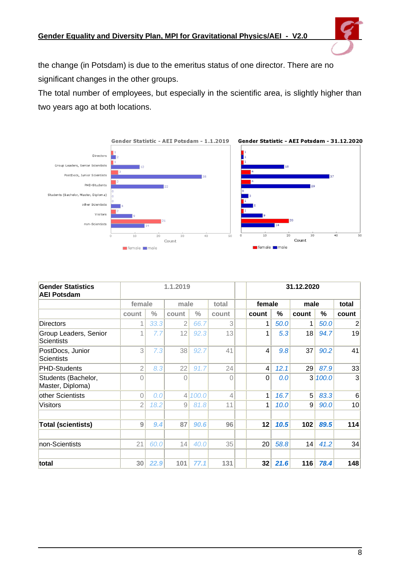the change (in Potsdam) is due to the emeritus status of one director. There are no significant changes in the other groups.

The total number of employees, but especially in the scientific area, is slightly higher than two years ago at both locations.



| <b>Gender Statistics</b><br><b>AEI Potsdam</b> | 1.1.2019       |               |                |               |          |  | 31.12.2020     |      |                |       |                 |
|------------------------------------------------|----------------|---------------|----------------|---------------|----------|--|----------------|------|----------------|-------|-----------------|
|                                                | female         |               |                | male          |          |  | female         |      | male           |       | total           |
|                                                | count          | $\frac{0}{0}$ | count          | $\frac{0}{0}$ | count    |  | count          | %    | count          | %     | count           |
| <b>Directors</b>                               | 1              | 33.3          | 2              | 66.7          | 3        |  | 1              | 50.0 | 1              | 50.0  | 2               |
| Group Leaders, Senior<br><b>Scientists</b>     |                | 7.7           | 12             | 92.3          | 13       |  | 1              | 5.3  | 18             | 94.7  | 19              |
| PostDocs, Junior<br>Scientists                 | $\overline{3}$ | 7.3           | 38             | 92.7          | 41       |  | $\overline{4}$ | 9.8  | 37             | 90.2  | 41              |
| <b>PHD-Students</b>                            | $\overline{2}$ | 8.3           | 22             | 91.7          | 24       |  | $\overline{4}$ | 12.1 | 29             | 87.9  | 33              |
| Students (Bachelor,<br>Master, Diploma)        | 0              |               | 0              |               | $\Omega$ |  | 0              | 0.0  | 3 <sup>l</sup> | 100.0 | 3               |
| other Scientists                               | $\overline{0}$ | 0.0           | 4 <sup>1</sup> | 100.0         | 4        |  | 1              | 16.7 | 5 <sup>1</sup> | 83.3  | $6\phantom{1}6$ |
| Visitors                                       | $\overline{2}$ | 18.2          | 9              | 81.8          | 11       |  | 1              | 10.0 | 9              | 90.0  | 10              |
| <b>Total (scientists)</b>                      | 9              | 9.4           | 87             | 90.6          | 96       |  | 12             | 10.5 | 102            | 89.5  | 114             |
| non-Scientists                                 | 21             | 60.0          | 14             | 40.0          | 35       |  | 20             | 58.8 | 14             | 41.2  | 34              |
| total                                          | 30             | 22.9          | 101            | 77.1          | 131      |  | 32             | 21.6 | 116            | 78.4  | 148             |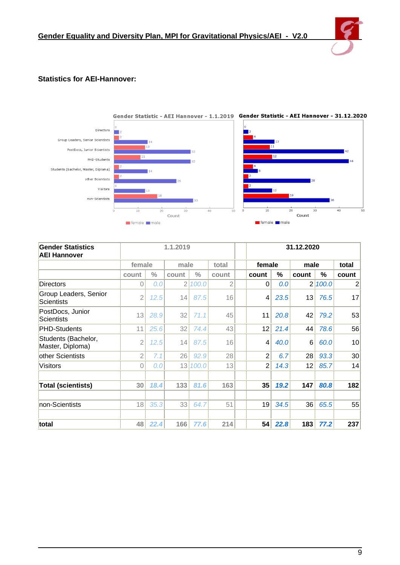

#### **Statistics for AEI-Hannover:**



| <b>Gender Statistics</b><br><b>AEI Hannover</b> | 1.1.2019       |               |                |               |       |        | 31.12.2020     |      |                |       |                |  |
|-------------------------------------------------|----------------|---------------|----------------|---------------|-------|--------|----------------|------|----------------|-------|----------------|--|
|                                                 | female         | male          |                | total         |       | female |                | male |                | total |                |  |
|                                                 | count          | $\frac{0}{0}$ | count          | $\frac{0}{0}$ | count |        | count          | %    | count          | %     | count          |  |
| <b>Directors</b>                                | 0              | 0.0           | $\overline{2}$ | 100.0         | 2     |        | 0              | 0.0  | $\overline{2}$ | 100.0 | $\overline{2}$ |  |
| Group Leaders, Senior<br><b>Scientists</b>      | $\overline{2}$ | 12.5          | 14             | 87.5          | 16    |        | $\overline{4}$ | 23.5 | 13             | 76.5  | 17             |  |
| PostDocs, Junior<br><b>Scientists</b>           | 13             | 28.9          | 32             | 71.1          | 45    |        | 11             | 20.8 | 42             | 79.2  | 53             |  |
| <b>PHD-Students</b>                             | 11             | 25.6          | 32             | 74.4          | 43    |        | 12             | 21.4 | 44             | 78.6  | 56             |  |
| Students (Bachelor,<br>Master, Diploma)         | $\overline{2}$ | 12.5          | 14             | 87.5          | 16    |        | $\overline{4}$ | 40.0 | 6              | 60.0  | 10             |  |
| other Scientists                                | 2              | 7.1           | 26             | 92.9          | 28    |        | $\overline{2}$ | 6.7  | 28             | 93.3  | 30             |  |
| Visitors                                        | $\overline{0}$ | 0.0           |                | 13 100.0      | 13    |        | $\overline{2}$ | 14.3 | 12             | 85.7  | 14             |  |
|                                                 |                |               |                |               |       |        |                |      |                |       |                |  |
| <b>Total (scientists)</b>                       | 30             | 18.4          | 133            | 81.6          | 163   |        | 35             | 19.2 | 147            | 80.8  | 182            |  |
|                                                 |                |               |                |               |       |        |                |      |                |       |                |  |
| non-Scientists                                  | 18             | 35.3          | 33             | 64.7          | 51    |        | 19             | 34.5 | 36             | 65.5  | 55             |  |
|                                                 |                |               |                |               |       |        |                |      |                |       |                |  |
| total                                           | 48             | 22.4          | 166            | 77.6          | 214   |        | 54             | 22.8 | 183            | 77.2  | 237            |  |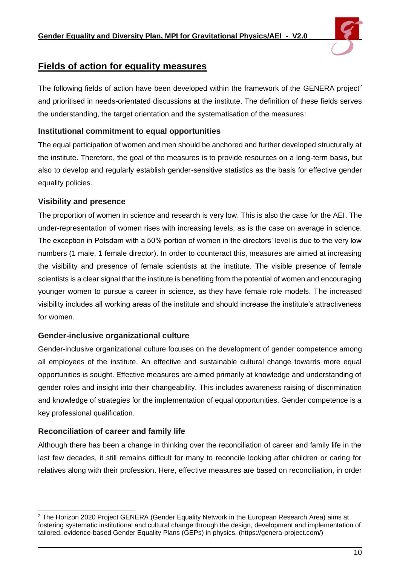

# <span id="page-9-0"></span>**Fields of action for equality measures**

The following fields of action have been developed within the framework of the GENERA project<sup>2</sup> and prioritised in needs-orientated discussions at the institute. The definition of these fields serves the understanding, the target orientation and the systematisation of the measures:

# **Institutional commitment to equal opportunities**

The equal participation of women and men should be anchored and further developed structurally at the institute. Therefore, the goal of the measures is to provide resources on a long-term basis, but also to develop and regularly establish gender-sensitive statistics as the basis for effective gender equality policies.

# **Visibility and presence**

The proportion of women in science and research is very low. This is also the case for the AEI. The under-representation of women rises with increasing levels, as is the case on average in science. The exception in Potsdam with a 50% portion of women in the directors' level is due to the very low numbers (1 male, 1 female director). In order to counteract this, measures are aimed at increasing the visibility and presence of female scientists at the institute. The visible presence of female scientists is a clear signal that the institute is benefiting from the potential of women and encouraging younger women to pursue a career in science, as they have female role models. The increased visibility includes all working areas of the institute and should increase the institute's attractiveness for women.

# **Gender-inclusive organizational culture**

Gender-inclusive organizational culture focuses on the development of gender competence among all employees of the institute. An effective and sustainable cultural change towards more equal opportunities is sought. Effective measures are aimed primarily at knowledge and understanding of gender roles and insight into their changeability. This includes awareness raising of discrimination and knowledge of strategies for the implementation of equal opportunities. Gender competence is a key professional qualification.

# **Reconciliation of career and family life**

Although there has been a change in thinking over the reconciliation of career and family life in the last few decades, it still remains difficult for many to reconcile looking after children or caring for relatives along with their profession. Here, effective measures are based on reconciliation, in order

<sup>&</sup>lt;sup>2</sup> The Horizon 2020 Project GENERA (Gender Equality Network in the European Research Area) aims at fostering systematic institutional and cultural change through the design, development and implementation of tailored, evidence-based Gender Equality Plans (GEPs) in physics. (https://genera-project.com/)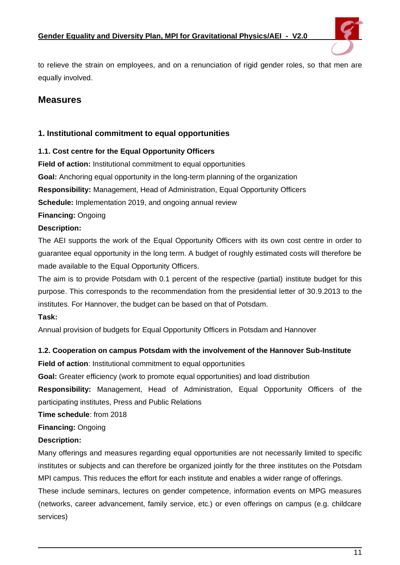

to relieve the strain on employees, and on a renunciation of rigid gender roles, so that men are equally involved.

# <span id="page-10-0"></span>**Measures**

# <span id="page-10-1"></span>**1. Institutional commitment to equal opportunities**

#### <span id="page-10-2"></span>**1.1. Cost centre for the Equal Opportunity Officers**

**Field of action:** Institutional commitment to equal opportunities **Goal:** Anchoring equal opportunity in the long-term planning of the organization **Responsibility:** Management, Head of Administration, Equal Opportunity Officers **Schedule:** Implementation 2019, and ongoing annual review

**Financing:** Ongoing

#### **Description:**

The AEI supports the work of the Equal Opportunity Officers with its own cost centre in order to guarantee equal opportunity in the long term. A budget of roughly estimated costs will therefore be made available to the Equal Opportunity Officers.

The aim is to provide Potsdam with 0.1 percent of the respective (partial) institute budget for this purpose. This corresponds to the recommendation from the presidential letter of 30.9.2013 to the institutes. For Hannover, the budget can be based on that of Potsdam.

#### **Task:**

Annual provision of budgets for Equal Opportunity Officers in Potsdam and Hannover

# <span id="page-10-3"></span>**1.2. Cooperation on campus Potsdam with the involvement of the Hannover Sub-Institute**

**Field of action:** Institutional commitment to equal opportunities

**Goal:** Greater efficiency (work to promote equal opportunities) and load distribution

**Responsibility:** Management, Head of Administration, Equal Opportunity Officers of the participating institutes, Press and Public Relations

**Time schedule**: from 2018

# **Financing:** Ongoing

# **Description:**

Many offerings and measures regarding equal opportunities are not necessarily limited to specific institutes or subjects and can therefore be organized jointly for the three institutes on the Potsdam MPI campus. This reduces the effort for each institute and enables a wider range of offerings.

These include seminars, lectures on gender competence, information events on MPG measures (networks, career advancement, family service, etc.) or even offerings on campus (e.g. childcare services)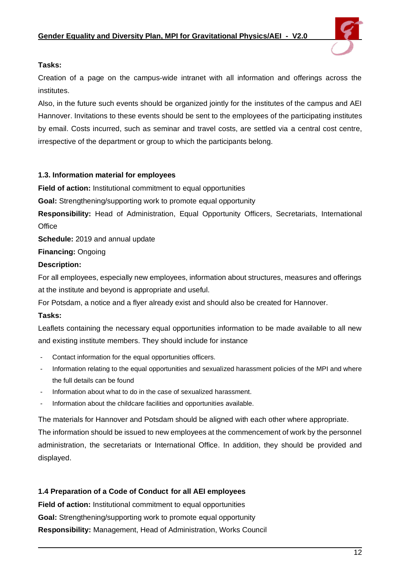

#### **Tasks:**

Creation of a page on the campus-wide intranet with all information and offerings across the institutes.

Also, in the future such events should be organized jointly for the institutes of the campus and AEI Hannover. Invitations to these events should be sent to the employees of the participating institutes by email. Costs incurred, such as seminar and travel costs, are settled via a central cost centre, irrespective of the department or group to which the participants belong.

#### <span id="page-11-0"></span>**1.3. Information material for employees**

**Field of action:** Institutional commitment to equal opportunities

**Goal:** Strengthening/supporting work to promote equal opportunity

**Responsibility:** Head of Administration, Equal Opportunity Officers, Secretariats, International **Office** 

**Schedule:** 2019 and annual update

#### **Financing:** Ongoing

#### **Description:**

For all employees, especially new employees, information about structures, measures and offerings at the institute and beyond is appropriate and useful.

For Potsdam, a notice and a flyer already exist and should also be created for Hannover.

#### **Tasks:**

Leaflets containing the necessary equal opportunities information to be made available to all new and existing institute members. They should include for instance

- Contact information for the equal opportunities officers.
- Information relating to the equal opportunities and sexualized harassment policies of the MPI and where the full details can be found
- Information about what to do in the case of sexualized harassment.
- Information about the childcare facilities and opportunities available.

The materials for Hannover and Potsdam should be aligned with each other where appropriate.

The information should be issued to new employees at the commencement of work by the personnel administration, the secretariats or International Office. In addition, they should be provided and displayed.

#### <span id="page-11-1"></span>**1.4 Preparation of a Code of Conduct for all AEI employees**

**Field of action:** Institutional commitment to equal opportunities **Goal:** Strengthening/supporting work to promote equal opportunity **Responsibility:** Management, Head of Administration, Works Council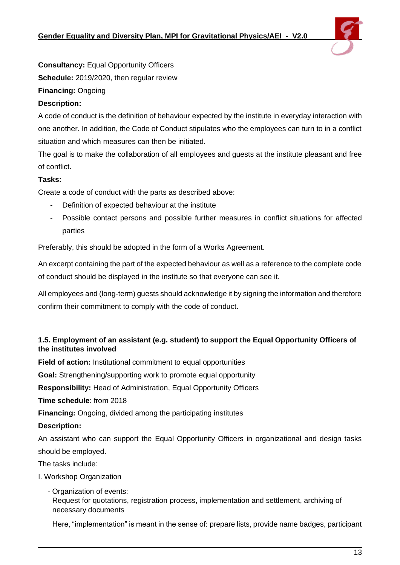

**Consultancy:** Equal Opportunity Officers

**Schedule:** 2019/2020, then regular review

# **Financing:** Ongoing

# **Description:**

A code of conduct is the definition of behaviour expected by the institute in everyday interaction with one another. In addition, the Code of Conduct stipulates who the employees can turn to in a conflict situation and which measures can then be initiated.

The goal is to make the collaboration of all employees and guests at the institute pleasant and free of conflict.

# **Tasks:**

Create a code of conduct with the parts as described above:

- Definition of expected behaviour at the institute
- Possible contact persons and possible further measures in conflict situations for affected parties

Preferably, this should be adopted in the form of a Works Agreement.

An excerpt containing the part of the expected behaviour as well as a reference to the complete code of conduct should be displayed in the institute so that everyone can see it.

All employees and (long-term) guests should acknowledge it by signing the information and therefore confirm their commitment to comply with the code of conduct.

# <span id="page-12-0"></span>**1.5. Employment of an assistant (e.g. student) to support the Equal Opportunity Officers of the institutes involved**

**Field of action:** Institutional commitment to equal opportunities

**Goal:** Strengthening/supporting work to promote equal opportunity

**Responsibility:** Head of Administration, Equal Opportunity Officers

**Time schedule**: from 2018

**Financing:** Ongoing, divided among the participating institutes

#### **Description:**

An assistant who can support the Equal Opportunity Officers in organizational and design tasks should be employed.

The tasks include:

I. Workshop Organization

- Organization of events: Request for quotations, registration process, implementation and settlement, archiving of necessary documents

Here, "implementation" is meant in the sense of: prepare lists, provide name badges, participant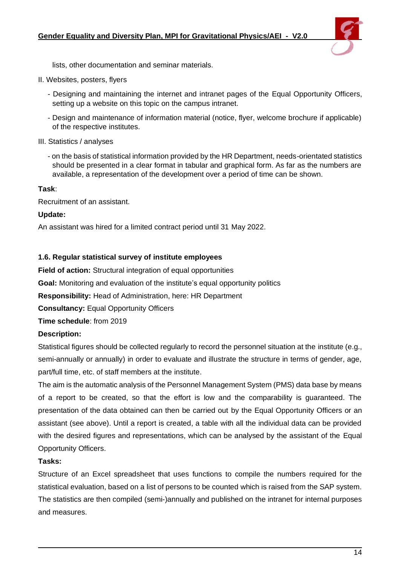

lists, other documentation and seminar materials.

- II. Websites, posters, flyers
	- Designing and maintaining the internet and intranet pages of the Equal Opportunity Officers, setting up a website on this topic on the campus intranet.
	- Design and maintenance of information material (notice, flyer, welcome brochure if applicable) of the respective institutes.
- III. Statistics / analyses
	- on the basis of statistical information provided by the HR Department, needs-orientated statistics should be presented in a clear format in tabular and graphical form. As far as the numbers are available, a representation of the development over a period of time can be shown.

#### **Task**:

Recruitment of an assistant.

#### **Update:**

An assistant was hired for a limited contract period until 31 May 2022.

#### <span id="page-13-0"></span>**1.6. Regular statistical survey of institute employees**

**Field of action:** Structural integration of equal opportunities

**Goal:** Monitoring and evaluation of the institute's equal opportunity politics

**Responsibility:** Head of Administration, here: HR Department

**Consultancy:** Equal Opportunity Officers

**Time schedule**: from 2019

#### **Description:**

Statistical figures should be collected regularly to record the personnel situation at the institute (e.g., semi-annually or annually) in order to evaluate and illustrate the structure in terms of gender, age, part/full time, etc. of staff members at the institute.

The aim is the automatic analysis of the Personnel Management System (PMS) data base by means of a report to be created, so that the effort is low and the comparability is guaranteed. The presentation of the data obtained can then be carried out by the Equal Opportunity Officers or an assistant (see above). Until a report is created, a table with all the individual data can be provided with the desired figures and representations, which can be analysed by the assistant of the Equal Opportunity Officers.

#### **Tasks:**

Structure of an Excel spreadsheet that uses functions to compile the numbers required for the statistical evaluation, based on a list of persons to be counted which is raised from the SAP system. The statistics are then compiled (semi-)annually and published on the intranet for internal purposes and measures.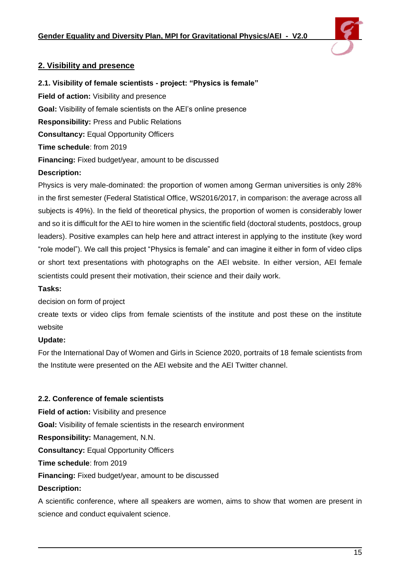

# <span id="page-14-0"></span>**2. Visibility and presence**

<span id="page-14-1"></span>**2.1. Visibility of female scientists - project: "Physics is female"**

**Field of action:** Visibility and presence

**Goal:** Visibility of female scientists on the AEI's online presence

**Responsibility:** Press and Public Relations

**Consultancy:** Equal Opportunity Officers

**Time schedule**: from 2019

**Financing:** Fixed budget/year, amount to be discussed

# **Description:**

Physics is very male-dominated: the proportion of women among German universities is only 28% in the first semester (Federal Statistical Office, WS2016/2017, in comparison: the average across all subjects is 49%). In the field of theoretical physics, the proportion of women is considerably lower and so it is difficult for the AEI to hire women in the scientific field (doctoral students, postdocs, group leaders). Positive examples can help here and attract interest in applying to the institute (key word "role model"). We call this project "Physics is female" and can imagine it either in form of video clips or short text presentations with photographs on the AEI website. In either version, AEI female scientists could present their motivation, their science and their daily work.

# **Tasks:**

decision on form of project

create texts or video clips from female scientists of the institute and post these on the institute website

# **Update:**

For the International Day of Women and Girls in Science 2020, portraits of 18 female scientists from the Institute were presented on the AEI website and the AEI Twitter channel.

#### <span id="page-14-2"></span>**2.2. Conference of female scientists**

**Field of action:** Visibility and presence **Goal:** Visibility of female scientists in the research environment **Responsibility:** Management, N.N. **Consultancy:** Equal Opportunity Officers **Time schedule**: from 2019 **Financing:** Fixed budget/year, amount to be discussed **Description:** A scientific conference, where all speakers are women, aims to show that women are present in

science and conduct equivalent science.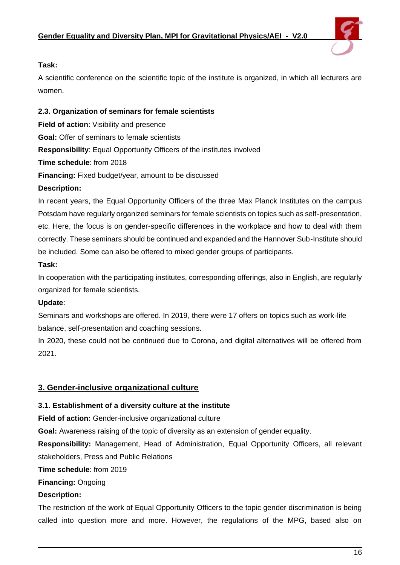

#### **Task:**

A scientific conference on the scientific topic of the institute is organized, in which all lecturers are women.

### <span id="page-15-0"></span>**2.3. Organization of seminars for female scientists**

**Field of action:** Visibility and presence **Goal:** Offer of seminars to female scientists **Responsibility**: Equal Opportunity Officers of the institutes involved **Time schedule**: from 2018 **Financing:** Fixed budget/year, amount to be discussed **Description:**

In recent years, the Equal Opportunity Officers of the three Max Planck Institutes on the campus Potsdam have regularly organized seminars for female scientists on topics such as self-presentation, etc. Here, the focus is on gender-specific differences in the workplace and how to deal with them correctly. These seminars should be continued and expanded and the Hannover Sub-Institute should be included. Some can also be offered to mixed gender groups of participants.

#### **Task:**

In cooperation with the participating institutes, corresponding offerings, also in English, are regularly organized for female scientists.

# **Update**:

Seminars and workshops are offered. In 2019, there were 17 offers on topics such as work-life balance, self-presentation and coaching sessions.

In 2020, these could not be continued due to Corona, and digital alternatives will be offered from 2021.

# <span id="page-15-1"></span>**3. Gender-inclusive organizational culture**

# <span id="page-15-2"></span>**3.1. Establishment of a diversity culture at the institute**

**Field of action:** Gender-inclusive organizational culture

**Goal:** Awareness raising of the topic of diversity as an extension of gender equality.

**Responsibility:** Management, Head of Administration, Equal Opportunity Officers, all relevant stakeholders, Press and Public Relations

**Time schedule**: from 2019

**Financing:** Ongoing

# **Description:**

The restriction of the work of Equal Opportunity Officers to the topic gender discrimination is being called into question more and more. However, the regulations of the MPG, based also on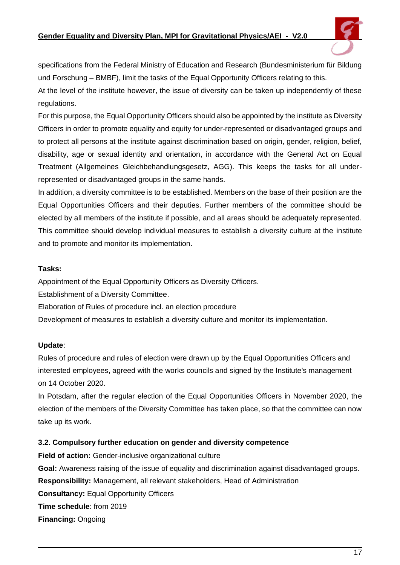

specifications from the Federal Ministry of Education and Research (Bundesministerium für Bildung und Forschung – BMBF), limit the tasks of the Equal Opportunity Officers relating to this.

At the level of the institute however, the issue of diversity can be taken up independently of these regulations.

For this purpose, the Equal Opportunity Officers should also be appointed by the institute as Diversity Officers in order to promote equality and equity for under-represented or disadvantaged groups and to protect all persons at the institute against discrimination based on origin, gender, religion, belief, disability, age or sexual identity and orientation, in accordance with the General Act on Equal Treatment (Allgemeines Gleichbehandlungsgesetz, AGG). This keeps the tasks for all underrepresented or disadvantaged groups in the same hands.

In addition, a diversity committee is to be established. Members on the base of their position are the Equal Opportunities Officers and their deputies. Further members of the committee should be elected by all members of the institute if possible, and all areas should be adequately represented. This committee should develop individual measures to establish a diversity culture at the institute and to promote and monitor its implementation.

#### **Tasks:**

Appointment of the Equal Opportunity Officers as Diversity Officers.

Establishment of a Diversity Committee.

Elaboration of Rules of procedure incl. an election procedure

Development of measures to establish a diversity culture and monitor its implementation.

#### **Update**:

Rules of procedure and rules of election were drawn up by the Equal Opportunities Officers and interested employees, agreed with the works councils and signed by the Institute's management on 14 October 2020.

In Potsdam, after the regular election of the Equal Opportunities Officers in November 2020, the election of the members of the Diversity Committee has taken place, so that the committee can now take up its work.

#### <span id="page-16-0"></span>**3.2. Compulsory further education on gender and diversity competence**

**Field of action:** Gender-inclusive organizational culture **Goal:** Awareness raising of the issue of equality and discrimination against disadvantaged groups. **Responsibility:** Management, all relevant stakeholders, Head of Administration **Consultancy:** Equal Opportunity Officers **Time schedule**: from 2019 **Financing:** Ongoing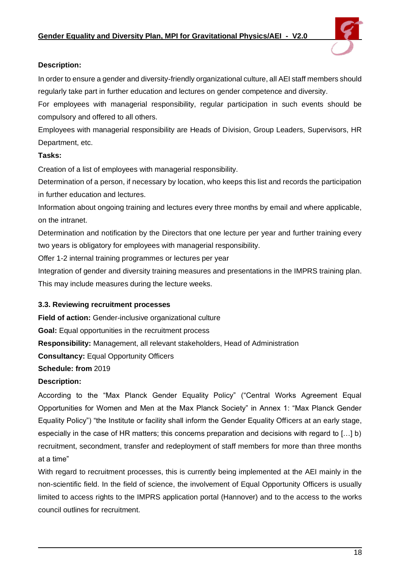

#### **Description:**

In order to ensure a gender and diversity-friendly organizational culture, all AEI staff members should regularly take part in further education and lectures on gender competence and diversity.

For employees with managerial responsibility, regular participation in such events should be compulsory and offered to all others.

Employees with managerial responsibility are Heads of Division, Group Leaders, Supervisors, HR Department, etc.

#### **Tasks:**

Creation of a list of employees with managerial responsibility.

Determination of a person, if necessary by location, who keeps this list and records the participation in further education and lectures.

Information about ongoing training and lectures every three months by email and where applicable, on the intranet.

Determination and notification by the Directors that one lecture per year and further training every two years is obligatory for employees with managerial responsibility.

Offer 1-2 internal training programmes or lectures per year

Integration of gender and diversity training measures and presentations in the IMPRS training plan. This may include measures during the lecture weeks.

# <span id="page-17-0"></span>**3.3. Reviewing recruitment processes**

**Field of action:** Gender-inclusive organizational culture **Goal:** Equal opportunities in the recruitment process **Responsibility:** Management, all relevant stakeholders, Head of Administration **Consultancy:** Equal Opportunity Officers **Schedule: from** 2019 **Description:**

According to the "Max Planck Gender Equality Policy" ("Central Works Agreement Equal Opportunities for Women and Men at the Max Planck Society" in Annex 1: "Max Planck Gender Equality Policy") "the Institute or facility shall inform the Gender Equality Officers at an early stage, especially in the case of HR matters; this concerns preparation and decisions with regard to […] b) recruitment, secondment, transfer and redeployment of staff members for more than three months at a time"

With regard to recruitment processes, this is currently being implemented at the AEI mainly in the non-scientific field. In the field of science, the involvement of Equal Opportunity Officers is usually limited to access rights to the IMPRS application portal (Hannover) and to the access to the works council outlines for recruitment.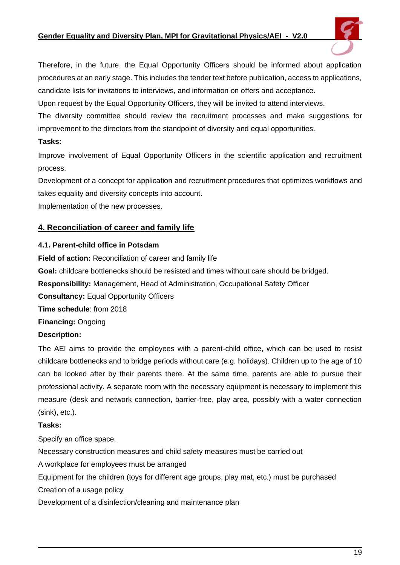#### **Gender Equality and Diversity Plan, MPI for Gravitational Physics/AEI - V2.0**



Therefore, in the future, the Equal Opportunity Officers should be informed about application procedures at an early stage. This includes the tender text before publication, access to applications, candidate lists for invitations to interviews, and information on offers and acceptance.

Upon request by the Equal Opportunity Officers, they will be invited to attend interviews.

The diversity committee should review the recruitment processes and make suggestions for improvement to the directors from the standpoint of diversity and equal opportunities.

#### **Tasks:**

Improve involvement of Equal Opportunity Officers in the scientific application and recruitment process.

Development of a concept for application and recruitment procedures that optimizes workflows and takes equality and diversity concepts into account.

Implementation of the new processes.

# <span id="page-18-0"></span>**4. Reconciliation of career and family life**

#### <span id="page-18-1"></span>**4.1. Parent-child office in Potsdam**

**Field of action:** Reconciliation of career and family life **Goal:** childcare bottlenecks should be resisted and times without care should be bridged. **Responsibility:** Management, Head of Administration, Occupational Safety Officer **Consultancy:** Equal Opportunity Officers **Time schedule**: from 2018 **Financing:** Ongoing **Description:**

The AEI aims to provide the employees with a parent-child office, which can be used to resist childcare bottlenecks and to bridge periods without care (e.g. holidays). Children up to the age of 10 can be looked after by their parents there. At the same time, parents are able to pursue their professional activity. A separate room with the necessary equipment is necessary to implement this measure (desk and network connection, barrier-free, play area, possibly with a water connection (sink), etc.).

# **Tasks:**

Specify an office space.

Necessary construction measures and child safety measures must be carried out

A workplace for employees must be arranged

Equipment for the children (toys for different age groups, play mat, etc.) must be purchased

Creation of a usage policy

Development of a disinfection/cleaning and maintenance plan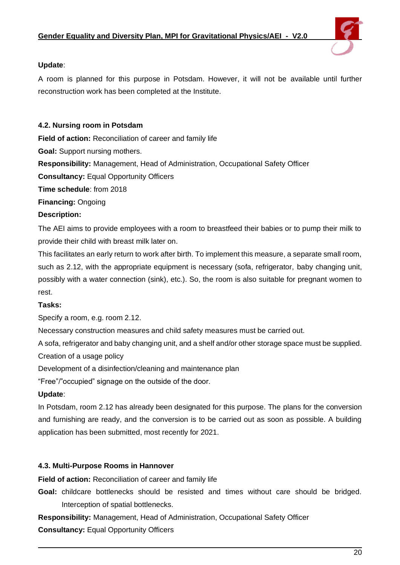

# **Update**:

A room is planned for this purpose in Potsdam. However, it will not be available until further reconstruction work has been completed at the Institute.

### <span id="page-19-0"></span>**4.2. Nursing room in Potsdam**

**Field of action:** Reconciliation of career and family life

**Goal:** Support nursing mothers.

**Responsibility:** Management, Head of Administration, Occupational Safety Officer

**Consultancy:** Equal Opportunity Officers

**Time schedule**: from 2018

**Financing:** Ongoing

#### **Description:**

The AEI aims to provide employees with a room to breastfeed their babies or to pump their milk to provide their child with breast milk later on.

This facilitates an early return to work after birth. To implement this measure, a separate small room, such as 2.12, with the appropriate equipment is necessary (sofa, refrigerator, baby changing unit, possibly with a water connection (sink), etc.). So, the room is also suitable for pregnant women to rest.

#### **Tasks:**

Specify a room, e.g. room 2.12.

Necessary construction measures and child safety measures must be carried out.

A sofa, refrigerator and baby changing unit, and a shelf and/or other storage space must be supplied.

Creation of a usage policy

Development of a disinfection/cleaning and maintenance plan

"Free"/"occupied" signage on the outside of the door.

#### **Update**:

In Potsdam, room 2.12 has already been designated for this purpose. The plans for the conversion and furnishing are ready, and the conversion is to be carried out as soon as possible. A building application has been submitted, most recently for 2021.

#### <span id="page-19-1"></span>**4.3. Multi-Purpose Rooms in Hannover**

**Field of action:** Reconciliation of career and family life

**Goal:** childcare bottlenecks should be resisted and times without care should be bridged. Interception of spatial bottlenecks.

**Responsibility:** Management, Head of Administration, Occupational Safety Officer

**Consultancy:** Equal Opportunity Officers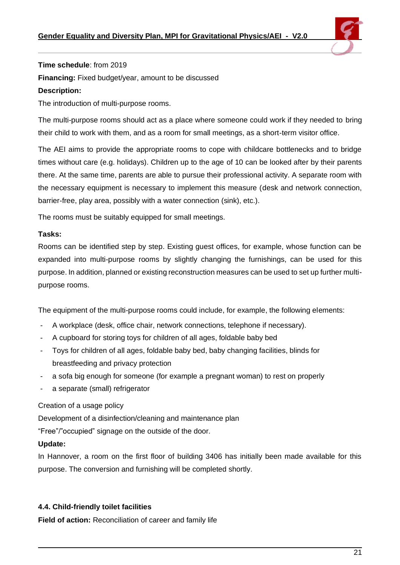

#### **Time schedule**: from 2019

**Financing:** Fixed budget/year, amount to be discussed

#### **Description:**

The introduction of multi-purpose rooms.

The multi-purpose rooms should act as a place where someone could work if they needed to bring their child to work with them, and as a room for small meetings, as a short-term visitor office.

The AEI aims to provide the appropriate rooms to cope with childcare bottlenecks and to bridge times without care (e.g. holidays). Children up to the age of 10 can be looked after by their parents there. At the same time, parents are able to pursue their professional activity. A separate room with the necessary equipment is necessary to implement this measure (desk and network connection, barrier-free, play area, possibly with a water connection (sink), etc.).

The rooms must be suitably equipped for small meetings.

#### **Tasks:**

Rooms can be identified step by step. Existing guest offices, for example, whose function can be expanded into multi-purpose rooms by slightly changing the furnishings, can be used for this purpose. In addition, planned or existing reconstruction measures can be used to set up further multipurpose rooms.

The equipment of the multi-purpose rooms could include, for example, the following elements:

- A workplace (desk, office chair, network connections, telephone if necessary).
- A cupboard for storing toys for children of all ages, foldable baby bed
- Toys for children of all ages, foldable baby bed, baby changing facilities, blinds for breastfeeding and privacy protection
- a sofa big enough for someone (for example a pregnant woman) to rest on properly
- a separate (small) refrigerator

# Creation of a usage policy

Development of a disinfection/cleaning and maintenance plan

"Free"/"occupied" signage on the outside of the door.

# **Update:**

In Hannover, a room on the first floor of building 3406 has initially been made available for this purpose. The conversion and furnishing will be completed shortly.

# <span id="page-20-0"></span>**4.4. Child-friendly toilet facilities**

**Field of action:** Reconciliation of career and family life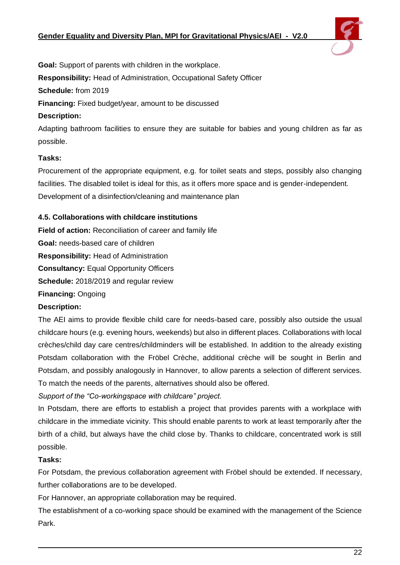

**Goal:** Support of parents with children in the workplace. **Responsibility:** Head of Administration, Occupational Safety Officer **Schedule:** from 2019 **Financing:** Fixed budget/year, amount to be discussed **Description:**

Adapting bathroom facilities to ensure they are suitable for babies and young children as far as possible.

# **Tasks:**

Procurement of the appropriate equipment, e.g. for toilet seats and steps, possibly also changing facilities. The disabled toilet is ideal for this, as it offers more space and is gender-independent. Development of a disinfection/cleaning and maintenance plan

# <span id="page-21-0"></span>**4.5. Collaborations with childcare institutions**

**Field of action:** Reconciliation of career and family life **Goal:** needs-based care of children **Responsibility:** Head of Administration **Consultancy:** Equal Opportunity Officers **Schedule:** 2018/2019 and regular review **Financing:** Ongoing

# **Description:**

The AEI aims to provide flexible child care for needs-based care, possibly also outside the usual childcare hours (e.g. evening hours, weekends) but also in different places. Collaborations with local crèches/child day care centres/childminders will be established. In addition to the already existing Potsdam collaboration with the Fröbel Crèche, additional crèche will be sought in Berlin and Potsdam, and possibly analogously in Hannover, to allow parents a selection of different services. To match the needs of the parents, alternatives should also be offered.

*Support of the "Co-workingspace with childcare" project.*

In Potsdam, there are efforts to establish a project that provides parents with a workplace with childcare in the immediate vicinity. This should enable parents to work at least temporarily after the birth of a child, but always have the child close by. Thanks to childcare, concentrated work is still possible.

# **Tasks:**

For Potsdam, the previous collaboration agreement with Fröbel should be extended. If necessary, further collaborations are to be developed.

For Hannover, an appropriate collaboration may be required.

The establishment of a co-working space should be examined with the management of the Science Park.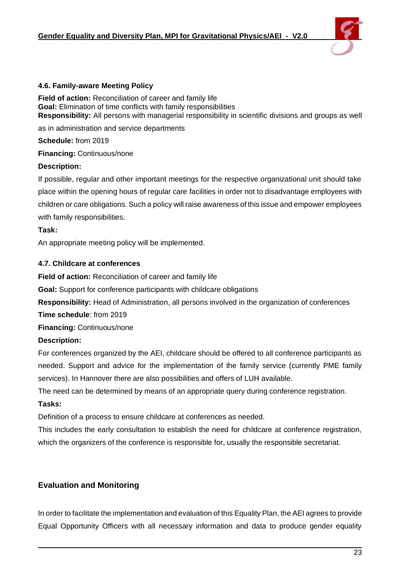

#### <span id="page-22-0"></span>**4.6. Family-aware Meeting Policy**

**Field of action:** Reconciliation of career and family life **Goal:** Elimination of time conflicts with family responsibilities **Responsibility:** All persons with managerial responsibility in scientific divisions and groups as well

as in administration and service departments

**Schedule:** from 2019

**Financing:** Continuous/none

#### **Description:**

If possible, regular and other important meetings for the respective organizational unit should take place within the opening hours of regular care facilities in order not to disadvantage employees with children or care obligations. Such a policy will raise awareness of this issue and empower employees with family responsibilities.

#### **Task:**

An appropriate meeting policy will be implemented.

#### <span id="page-22-1"></span>**4.7. Childcare at conferences**

**Field of action:** Reconciliation of career and family life

**Goal:** Support for conference participants with childcare obligations

**Responsibility:** Head of Administration, all persons involved in the organization of conferences

**Time schedule**: from 2019

**Financing:** Continuous/none

#### **Description:**

For conferences organized by the AEI, childcare should be offered to all conference participants as needed. Support and advice for the implementation of the family service (currently PME family services). In Hannover there are also possibilities and offers of LUH available.

The need can be determined by means of an appropriate query during conference registration.

#### **Tasks:**

Definition of a process to ensure childcare at conferences as needed.

This includes the early consultation to establish the need for childcare at conference registration, which the organizers of the conference is responsible for, usually the responsible secretariat.

# <span id="page-22-2"></span>**Evaluation and Monitoring**

In order to facilitate the implementation and evaluation of this Equality Plan, the AEI agrees to provide Equal Opportunity Officers with all necessary information and data to produce gender equality